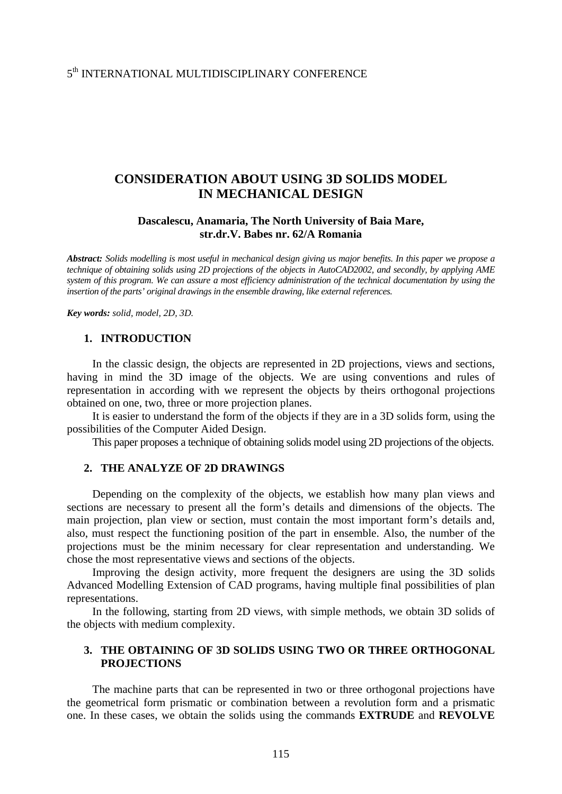# 5th INTERNATIONAL MULTIDISCIPLINARY CONFERENCE

# **CONSIDERATION ABOUT USING 3D SOLIDS MODEL IN MECHANICAL DESIGN**

### **Dascalescu, Anamaria, The North University of Baia Mare, str.dr.V. Babes nr. 62/A Romania**

*Abstract: Solids modelling is most useful in mechanical design giving us major benefits. In this paper w*e *propose a technique of obtaining solids using 2D projections of the objects in AutoCAD2002, and secondly, by applying AME system of this program. We can assure a most efficiency administration of the technical documentation by using the insertion of the parts' original drawings in the ensemble drawing, like external references.* 

*Key words: solid, model, 2D, 3D.* 

#### **1. INTRODUCTION**

In the classic design, the objects are represented in 2D projections, views and sections, having in mind the 3D image of the objects. We are using conventions and rules of representation in according with we represent the objects by theirs orthogonal projections obtained on one, two, three or more projection planes.

It is easier to understand the form of the objects if they are in a 3D solids form, using the possibilities of the Computer Aided Design.

This paper proposes a technique of obtaining solids model using 2D projections of the objects.

#### **2. THE ANALYZE OF 2D DRAWINGS**

Depending on the complexity of the objects, we establish how many plan views and sections are necessary to present all the form's details and dimensions of the objects. The main projection, plan view or section, must contain the most important form's details and, also, must respect the functioning position of the part in ensemble. Also, the number of the projections must be the minim necessary for clear representation and understanding. We chose the most representative views and sections of the objects.

Improving the design activity, more frequent the designers are using the 3D solids Advanced Modelling Extension of CAD programs, having multiple final possibilities of plan representations.

In the following, starting from 2D views, with simple methods, we obtain 3D solids of the objects with medium complexity.

### **3. THE OBTAINING OF 3D SOLIDS USING TWO OR THREE ORTHOGONAL PROJECTIONS**

The machine parts that can be represented in two or three orthogonal projections have the geometrical form prismatic or combination between a revolution form and a prismatic one. In these cases, we obtain the solids using the commands **EXTRUDE** and **REVOLVE**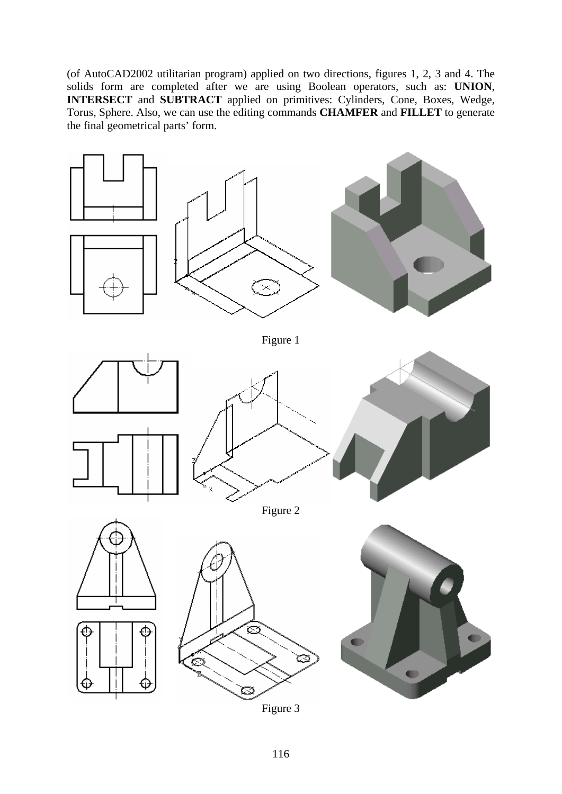(of AutoCAD2002 utilitarian program) applied on two directions, figures 1, 2, 3 and 4. The solids form are completed after we are using Boolean operators, such as: **UNION**, **INTERSECT** and **SUBTRACT** applied on primitives: Cylinders, Cone, Boxes, Wedge, Torus, Sphere. Also, we can use the editing commands **CHAMFER** and **FILLET** to generate the final geometrical parts' form.

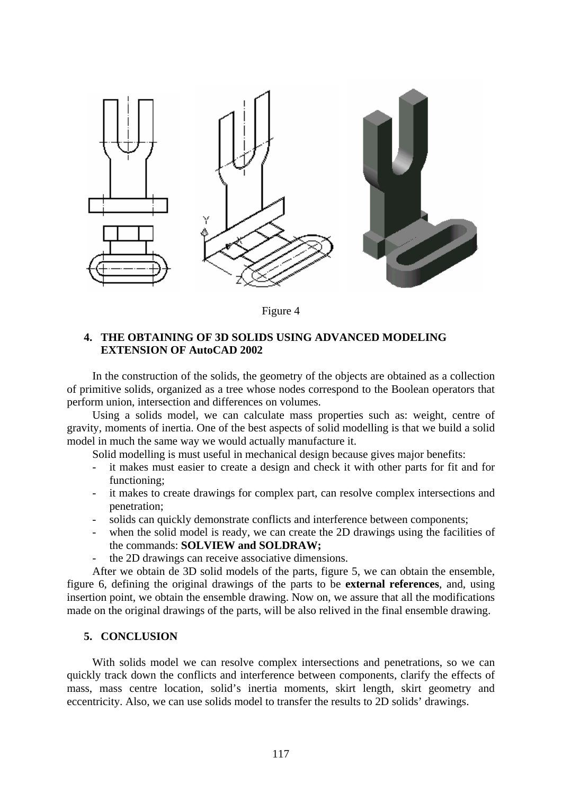

Figure 4

## **4. THE OBTAINING OF 3D SOLIDS USING ADVANCED MODELING EXTENSION OF AutoCAD 2002**

In the construction of the solids, the geometry of the objects are obtained as a collection of primitive solids, organized as a tree whose nodes correspond to the Boolean operators that perform union, intersection and differences on volumes.

Using a solids model, we can calculate mass properties such as: weight, centre of gravity, moments of inertia. One of the best aspects of solid modelling is that we build a solid model in much the same way we would actually manufacture it.

Solid modelling is must useful in mechanical design because gives major benefits:

- it makes must easier to create a design and check it with other parts for fit and for functioning;
- it makes to create drawings for complex part, can resolve complex intersections and penetration;
- solids can quickly demonstrate conflicts and interference between components;
- when the solid model is ready, we can create the 2D drawings using the facilities of the commands: **SOLVIEW and SOLDRAW;**
- the 2D drawings can receive associative dimensions.

After we obtain de 3D solid models of the parts, figure 5, we can obtain the ensemble, figure 6, defining the original drawings of the parts to be **external references**, and, using insertion point, we obtain the ensemble drawing. Now on, we assure that all the modifications made on the original drawings of the parts, will be also relived in the final ensemble drawing.

## **5. CONCLUSION**

With solids model we can resolve complex intersections and penetrations, so we can quickly track down the conflicts and interference between components, clarify the effects of mass, mass centre location, solid's inertia moments, skirt length, skirt geometry and eccentricity. Also, we can use solids model to transfer the results to 2D solids' drawings.